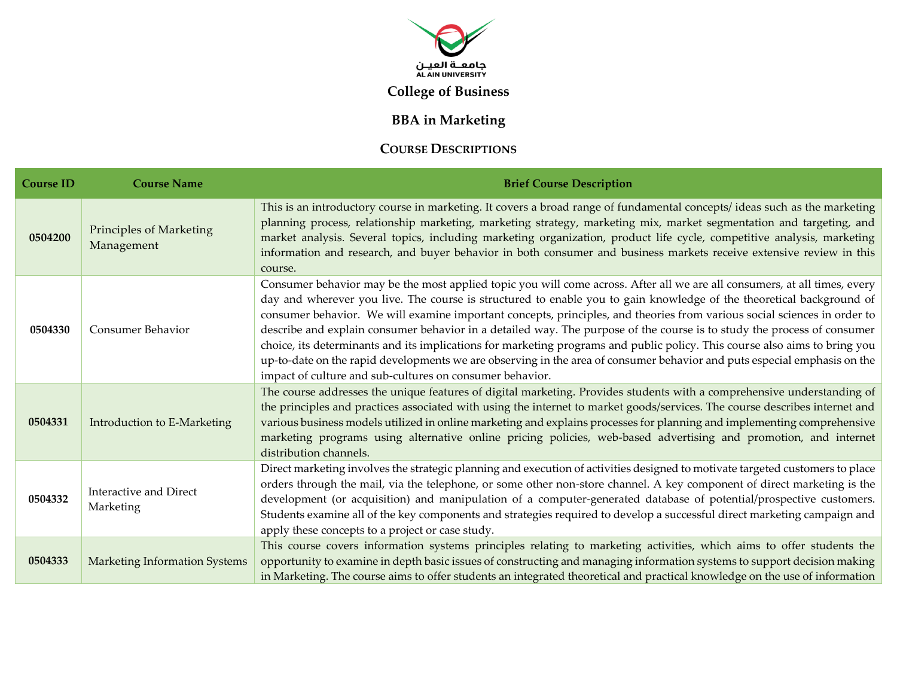

## **College of Business**

## **BBA in Marketing**

## **COURSE DESCRIPTIONS**

| <b>Course ID</b> | <b>Course Name</b>                           | <b>Brief Course Description</b>                                                                                                                                                                                                                                                                                                                                                                                                                                                                                                                                                                                                                                                                                                                                                                                                |
|------------------|----------------------------------------------|--------------------------------------------------------------------------------------------------------------------------------------------------------------------------------------------------------------------------------------------------------------------------------------------------------------------------------------------------------------------------------------------------------------------------------------------------------------------------------------------------------------------------------------------------------------------------------------------------------------------------------------------------------------------------------------------------------------------------------------------------------------------------------------------------------------------------------|
| 0504200          | <b>Principles of Marketing</b><br>Management | This is an introductory course in marketing. It covers a broad range of fundamental concepts/ideas such as the marketing<br>planning process, relationship marketing, marketing strategy, marketing mix, market segmentation and targeting, and<br>market analysis. Several topics, including marketing organization, product life cycle, competitive analysis, marketing<br>information and research, and buyer behavior in both consumer and business markets receive extensive review in this<br>course.                                                                                                                                                                                                                                                                                                                    |
| 0504330          | <b>Consumer Behavior</b>                     | Consumer behavior may be the most applied topic you will come across. After all we are all consumers, at all times, every<br>day and wherever you live. The course is structured to enable you to gain knowledge of the theoretical background of<br>consumer behavior. We will examine important concepts, principles, and theories from various social sciences in order to<br>describe and explain consumer behavior in a detailed way. The purpose of the course is to study the process of consumer<br>choice, its determinants and its implications for marketing programs and public policy. This course also aims to bring you<br>up-to-date on the rapid developments we are observing in the area of consumer behavior and puts especial emphasis on the<br>impact of culture and sub-cultures on consumer behavior. |
| 0504331          | Introduction to E-Marketing                  | The course addresses the unique features of digital marketing. Provides students with a comprehensive understanding of<br>the principles and practices associated with using the internet to market goods/services. The course describes internet and<br>various business models utilized in online marketing and explains processes for planning and implementing comprehensive<br>marketing programs using alternative online pricing policies, web-based advertising and promotion, and internet<br>distribution channels.                                                                                                                                                                                                                                                                                                  |
| 0504332          | <b>Interactive and Direct</b><br>Marketing   | Direct marketing involves the strategic planning and execution of activities designed to motivate targeted customers to place<br>orders through the mail, via the telephone, or some other non-store channel. A key component of direct marketing is the<br>development (or acquisition) and manipulation of a computer-generated database of potential/prospective customers.<br>Students examine all of the key components and strategies required to develop a successful direct marketing campaign and<br>apply these concepts to a project or case study.                                                                                                                                                                                                                                                                 |
| 0504333          | <b>Marketing Information Systems</b>         | This course covers information systems principles relating to marketing activities, which aims to offer students the<br>opportunity to examine in depth basic issues of constructing and managing information systems to support decision making<br>in Marketing. The course aims to offer students an integrated theoretical and practical knowledge on the use of information                                                                                                                                                                                                                                                                                                                                                                                                                                                |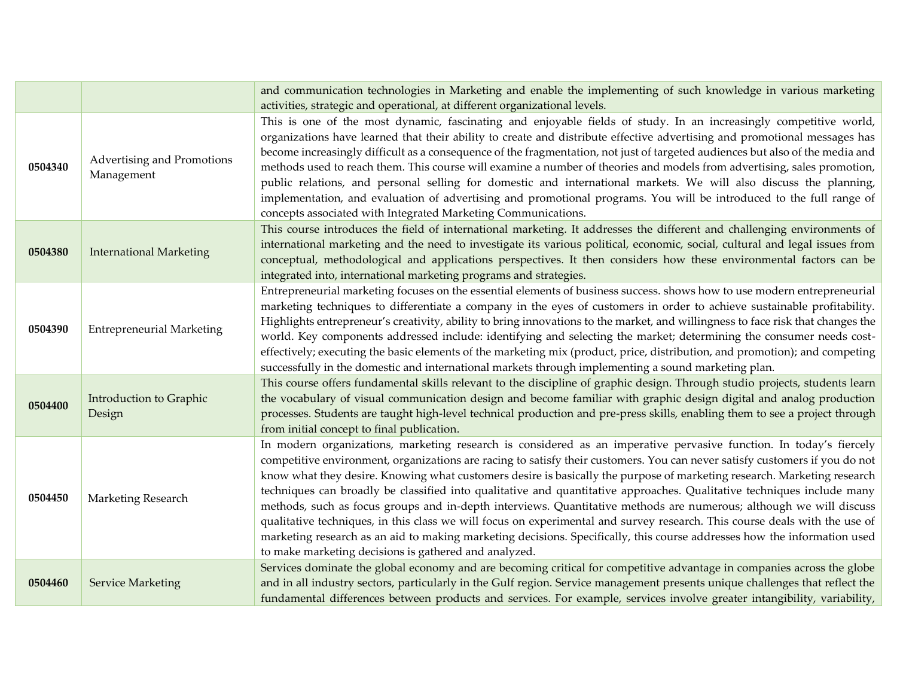|         |                                          | and communication technologies in Marketing and enable the implementing of such knowledge in various marketing<br>activities, strategic and operational, at different organizational levels.                                                                                                                                                                                                                                                                                                                                                                                                                                                                                                                                                                                                                                                                                                                                                    |
|---------|------------------------------------------|-------------------------------------------------------------------------------------------------------------------------------------------------------------------------------------------------------------------------------------------------------------------------------------------------------------------------------------------------------------------------------------------------------------------------------------------------------------------------------------------------------------------------------------------------------------------------------------------------------------------------------------------------------------------------------------------------------------------------------------------------------------------------------------------------------------------------------------------------------------------------------------------------------------------------------------------------|
| 0504340 | Advertising and Promotions<br>Management | This is one of the most dynamic, fascinating and enjoyable fields of study. In an increasingly competitive world,<br>organizations have learned that their ability to create and distribute effective advertising and promotional messages has<br>become increasingly difficult as a consequence of the fragmentation, not just of targeted audiences but also of the media and<br>methods used to reach them. This course will examine a number of theories and models from advertising, sales promotion,<br>public relations, and personal selling for domestic and international markets. We will also discuss the planning,<br>implementation, and evaluation of advertising and promotional programs. You will be introduced to the full range of<br>concepts associated with Integrated Marketing Communications.                                                                                                                         |
| 0504380 | <b>International Marketing</b>           | This course introduces the field of international marketing. It addresses the different and challenging environments of<br>international marketing and the need to investigate its various political, economic, social, cultural and legal issues from<br>conceptual, methodological and applications perspectives. It then considers how these environmental factors can be<br>integrated into, international marketing programs and strategies.                                                                                                                                                                                                                                                                                                                                                                                                                                                                                               |
| 0504390 | <b>Entrepreneurial Marketing</b>         | Entrepreneurial marketing focuses on the essential elements of business success. shows how to use modern entrepreneurial<br>marketing techniques to differentiate a company in the eyes of customers in order to achieve sustainable profitability.<br>Highlights entrepreneur's creativity, ability to bring innovations to the market, and willingness to face risk that changes the<br>world. Key components addressed include: identifying and selecting the market; determining the consumer needs cost-<br>effectively; executing the basic elements of the marketing mix (product, price, distribution, and promotion); and competing<br>successfully in the domestic and international markets through implementing a sound marketing plan.                                                                                                                                                                                             |
| 0504400 | Introduction to Graphic<br>Design        | This course offers fundamental skills relevant to the discipline of graphic design. Through studio projects, students learn<br>the vocabulary of visual communication design and become familiar with graphic design digital and analog production<br>processes. Students are taught high-level technical production and pre-press skills, enabling them to see a project through<br>from initial concept to final publication.                                                                                                                                                                                                                                                                                                                                                                                                                                                                                                                 |
| 0504450 | Marketing Research                       | In modern organizations, marketing research is considered as an imperative pervasive function. In today's fiercely<br>competitive environment, organizations are racing to satisfy their customers. You can never satisfy customers if you do not<br>know what they desire. Knowing what customers desire is basically the purpose of marketing research. Marketing research<br>techniques can broadly be classified into qualitative and quantitative approaches. Qualitative techniques include many<br>methods, such as focus groups and in-depth interviews. Quantitative methods are numerous; although we will discuss<br>qualitative techniques, in this class we will focus on experimental and survey research. This course deals with the use of<br>marketing research as an aid to making marketing decisions. Specifically, this course addresses how the information used<br>to make marketing decisions is gathered and analyzed. |
| 0504460 | <b>Service Marketing</b>                 | Services dominate the global economy and are becoming critical for competitive advantage in companies across the globe<br>and in all industry sectors, particularly in the Gulf region. Service management presents unique challenges that reflect the<br>fundamental differences between products and services. For example, services involve greater intangibility, variability,                                                                                                                                                                                                                                                                                                                                                                                                                                                                                                                                                              |